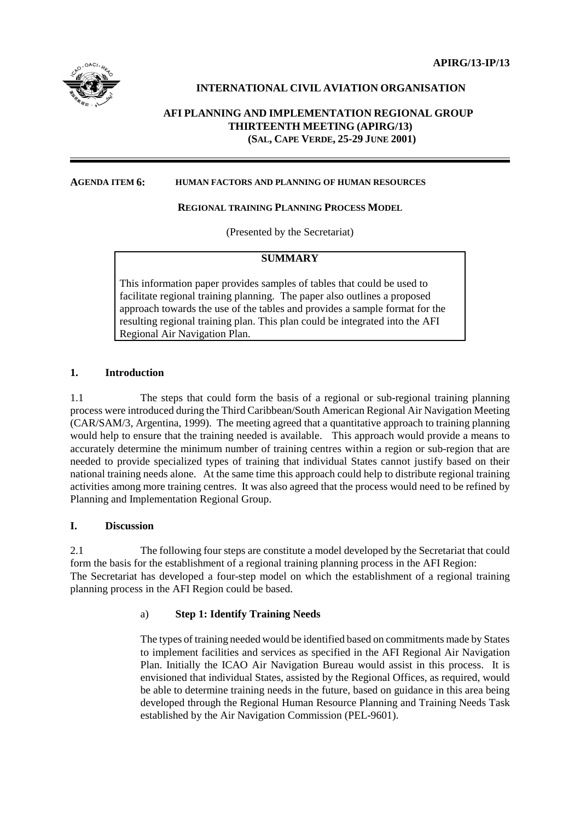## **INTERNATIONAL CIVIL AVIATION ORGANISATION**

# **AFI PLANNING AND IMPLEMENTATION REGIONAL GROUP THIRTEENTH MEETING (APIRG/13) (SAL, CAPE VERDE, 25-29 JUNE 2001)**

#### **AGENDA ITEM 6: HUMAN FACTORS AND PLANNING OF HUMAN RESOURCES**

#### **REGIONAL TRAINING PLANNING PROCESS MODEL**

(Presented by the Secretariat)

### **SUMMARY**

This information paper provides samples of tables that could be used to facilitate regional training planning. The paper also outlines a proposed approach towards the use of the tables and provides a sample format for the resulting regional training plan. This plan could be integrated into the AFI Regional Air Navigation Plan.

#### **1. Introduction**

1.1 The steps that could form the basis of a regional or sub-regional training planning process were introduced during the Third Caribbean/South American Regional Air Navigation Meeting (CAR/SAM/3, Argentina, 1999). The meeting agreed that a quantitative approach to training planning would help to ensure that the training needed is available. This approach would provide a means to accurately determine the minimum number of training centres within a region or sub-region that are needed to provide specialized types of training that individual States cannot justify based on their national training needs alone. At the same time this approach could help to distribute regional training activities among more training centres. It was also agreed that the process would need to be refined by Planning and Implementation Regional Group.

#### **I. Discussion**

2.1 The following four steps are constitute a model developed by the Secretariat that could form the basis for the establishment of a regional training planning process in the AFI Region: The Secretariat has developed a four-step model on which the establishment of a regional training planning process in the AFI Region could be based.

### a) **Step 1: Identify Training Needs**

The types of training needed would be identified based on commitments made by States to implement facilities and services as specified in the AFI Regional Air Navigation Plan. Initially the ICAO Air Navigation Bureau would assist in this process. It is envisioned that individual States, assisted by the Regional Offices, as required, would be able to determine training needs in the future, based on guidance in this area being developed through the Regional Human Resource Planning and Training Needs Task established by the Air Navigation Commission (PEL-9601).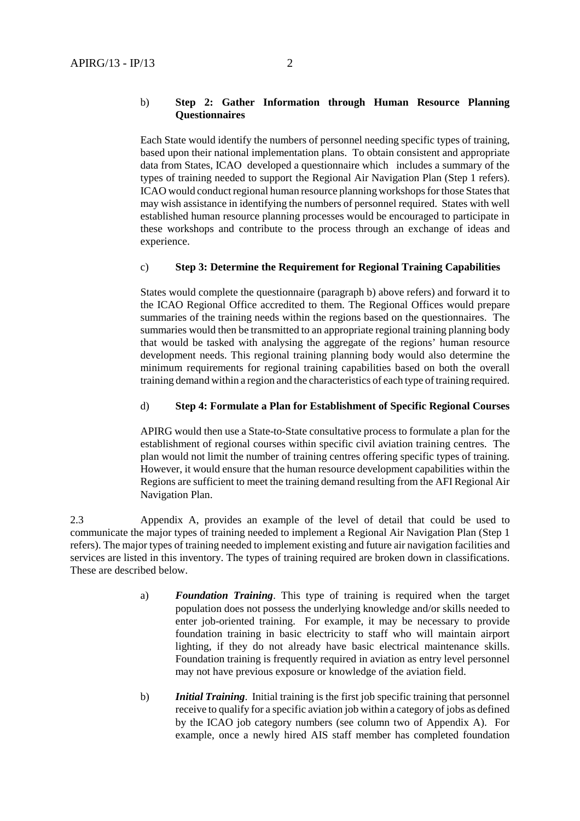#### b) **Step 2: Gather Information through Human Resource Planning Questionnaires**

Each State would identify the numbers of personnel needing specific types of training, based upon their national implementation plans. To obtain consistent and appropriate data from States, ICAO developed a questionnaire which includes a summary of the types of training needed to support the Regional Air Navigation Plan (Step 1 refers). ICAO would conduct regional human resource planning workshops for those States that may wish assistance in identifying the numbers of personnel required. States with well established human resource planning processes would be encouraged to participate in these workshops and contribute to the process through an exchange of ideas and experience.

### c) **Step 3: Determine the Requirement for Regional Training Capabilities**

States would complete the questionnaire (paragraph b) above refers) and forward it to the ICAO Regional Office accredited to them. The Regional Offices would prepare summaries of the training needs within the regions based on the questionnaires. The summaries would then be transmitted to an appropriate regional training planning body that would be tasked with analysing the aggregate of the regions' human resource development needs. This regional training planning body would also determine the minimum requirements for regional training capabilities based on both the overall training demand within a region and the characteristics of each type of training required.

### d) **Step 4: Formulate a Plan for Establishment of Specific Regional Courses**

APIRG would then use a State-to-State consultative process to formulate a plan for the establishment of regional courses within specific civil aviation training centres. The plan would not limit the number of training centres offering specific types of training. However, it would ensure that the human resource development capabilities within the Regions are sufficient to meet the training demand resulting from the AFI Regional Air Navigation Plan.

2.3 Appendix A, provides an example of the level of detail that could be used to communicate the major types of training needed to implement a Regional Air Navigation Plan (Step 1 refers). The major types of training needed to implement existing and future air navigation facilities and services are listed in this inventory. The types of training required are broken down in classifications. These are described below.

- a) *Foundation Training*. This type of training is required when the target population does not possess the underlying knowledge and/or skills needed to enter job-oriented training. For example, it may be necessary to provide foundation training in basic electricity to staff who will maintain airport lighting, if they do not already have basic electrical maintenance skills. Foundation training is frequently required in aviation as entry level personnel may not have previous exposure or knowledge of the aviation field.
- b) *Initial Training*. Initial training is the first job specific training that personnel receive to qualify for a specific aviation job within a category of jobs as defined by the ICAO job category numbers (see column two of Appendix A). For example, once a newly hired AIS staff member has completed foundation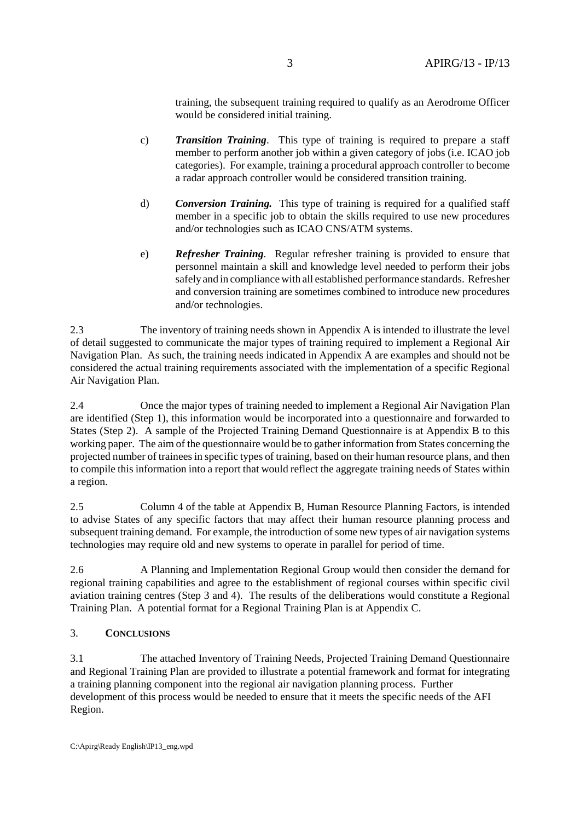training, the subsequent training required to qualify as an Aerodrome Officer would be considered initial training.

- c) *Transition Training*. This type of training is required to prepare a staff member to perform another job within a given category of jobs (i.e. ICAO job categories). For example, training a procedural approach controller to become a radar approach controller would be considered transition training.
- d) *Conversion Training.* This type of training is required for a qualified staff member in a specific job to obtain the skills required to use new procedures and/or technologies such as ICAO CNS/ATM systems.
- e) *Refresher Training*. Regular refresher training is provided to ensure that personnel maintain a skill and knowledge level needed to perform their jobs safely and in compliance with all established performance standards. Refresher and conversion training are sometimes combined to introduce new procedures and/or technologies.

2.3 The inventory of training needs shown in Appendix A is intended to illustrate the level of detail suggested to communicate the major types of training required to implement a Regional Air Navigation Plan. As such, the training needs indicated in Appendix A are examples and should not be considered the actual training requirements associated with the implementation of a specific Regional Air Navigation Plan.

2.4 Once the major types of training needed to implement a Regional Air Navigation Plan are identified (Step 1), this information would be incorporated into a questionnaire and forwarded to States (Step 2). A sample of the Projected Training Demand Questionnaire is at Appendix B to this working paper. The aim of the questionnaire would be to gather information from States concerning the projected number of trainees in specific types of training, based on their human resource plans, and then to compile this information into a report that would reflect the aggregate training needs of States within a region.

2.5 Column 4 of the table at Appendix B, Human Resource Planning Factors, is intended to advise States of any specific factors that may affect their human resource planning process and subsequent training demand. For example, the introduction of some new types of air navigation systems technologies may require old and new systems to operate in parallel for period of time.

2.6 A Planning and Implementation Regional Group would then consider the demand for regional training capabilities and agree to the establishment of regional courses within specific civil aviation training centres (Step 3 and 4). The results of the deliberations would constitute a Regional Training Plan. A potential format for a Regional Training Plan is at Appendix C.

# 3. **CONCLUSIONS**

3.1 The attached Inventory of Training Needs, Projected Training Demand Questionnaire and Regional Training Plan are provided to illustrate a potential framework and format for integrating a training planning component into the regional air navigation planning process. Further development of this process would be needed to ensure that it meets the specific needs of the AFI Region.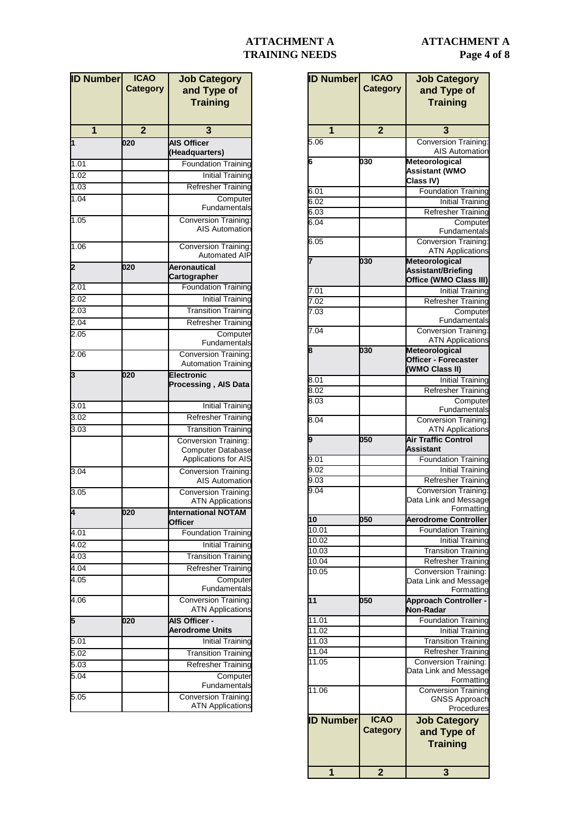## **ATTACHMENT A Page 4 of 8**

# **ATTACHMENT A TRAINING NEEDS**

| <b>ID Number</b>  | <b>ICAO</b>     | <b>Job Category</b>                 |
|-------------------|-----------------|-------------------------------------|
|                   | <b>Category</b> | and Type of                         |
|                   |                 | <b>Training</b>                     |
|                   |                 |                                     |
|                   |                 |                                     |
| 1                 | $\overline{2}$  | 3                                   |
| 5.06              |                 | <b>Conversion Training:</b>         |
|                   |                 | <b>AIS Automation</b>               |
| 6                 | 030             | Meteorological                      |
|                   |                 | <b>Assistant (WMO</b>               |
|                   |                 | Class IV)                           |
| 6.01              |                 | <b>Foundation Training</b>          |
| 6.02              |                 | <b>Initial Training</b>             |
| $6.0\overline{3}$ |                 | <b>Refresher Training</b>           |
| 6.04              |                 |                                     |
|                   |                 | Computer<br>Fundamentals            |
|                   |                 |                                     |
| 6.05              |                 | <b>Conversion Training:</b>         |
|                   |                 | <b>ATN Applications</b>             |
| 7                 | 030             | <b>Meteorological</b>               |
|                   |                 | Assistant/Briefing                  |
|                   |                 | Office (WMO Class III)              |
| 7.01              |                 | <b>Initial Training</b>             |
| 7.02              |                 | <b>Refresher Training</b>           |
| 7.03              |                 | Computer                            |
|                   |                 | Fundamentals                        |
| 7.04              |                 | <b>Conversion Training:</b>         |
|                   |                 | <b>ATN Applications</b>             |
| 8                 | 030             | Meteorological                      |
|                   |                 | Officer - Forecaster                |
|                   |                 | (WMO Class II)                      |
| 8.01              |                 | <b>Initial Training</b>             |
| 8.02              |                 | <b>Refresher Training</b>           |
| 8.03              |                 | Computer                            |
|                   |                 | Fundamentals                        |
| 8.04              |                 | <b>Conversion Training:</b>         |
|                   |                 | <b>ATN Applications</b>             |
| 9                 | 050             | <b>Air Traffic Control</b>          |
|                   |                 | Assistant                           |
| 9.01              |                 | <b>Foundation Training</b>          |
| 9.02              |                 | <b>Initial Training</b>             |
| 9.03              |                 | Refresher Training                  |
| 9.04              |                 | <b>Conversion Training:</b>         |
|                   |                 |                                     |
|                   |                 | Data Link and Message<br>Formatting |
| 10                | 050             | <b>Aerodrome Controller</b>         |
|                   |                 |                                     |
| 10.01             |                 | <b>Foundation Training</b>          |
| 10.02             |                 | <b>Initial Training</b>             |
| 10.03             |                 | <b>Transition Training</b>          |
| 10.04             |                 | <b>Refresher Training</b>           |
| 10.05             |                 | <b>Conversion Training:</b>         |
|                   |                 | Data Link and Message               |
|                   |                 | Formatting                          |
| 11                | 050             | <b>Approach Controller -</b>        |
|                   |                 | Non-Radar                           |
| 11.01             |                 | <b>Foundation Training</b>          |
| 11.02             |                 | <b>Initial Training</b>             |
| 11.03             |                 | Transition Training                 |
| 11.04             |                 | <b>Refresher Training</b>           |
| 11.05             |                 | <b>Conversion Training:</b>         |
|                   |                 | Data Link and Message               |
|                   |                 | Formatting                          |
| 11.06             |                 | <b>Conversion Training</b>          |
|                   |                 | <b>GNSS Approach</b>                |
|                   |                 | Procedures                          |
| <b>ID Number</b>  | <b>ICAO</b>     | <b>Job Category</b>                 |
|                   | <b>Category</b> |                                     |
|                   |                 | and Type of                         |
|                   |                 | <b>Training</b>                     |
|                   |                 |                                     |
|                   |                 |                                     |
| 1                 | $\overline{2}$  | 3                                   |

| <b>ID Number</b>  | <b>ICAO</b><br><b>Category</b> | <b>Job Category</b><br>and Type of<br><b>Training</b>  |
|-------------------|--------------------------------|--------------------------------------------------------|
| 1                 | $\overline{2}$                 | 3                                                      |
| 1                 | 020                            | <b>AIS Officer</b><br>(Headquarters)                   |
| 1.01              |                                | <b>Foundation Training</b>                             |
| 1.02              |                                | <b>Initial Training</b>                                |
| 1.03              |                                | <b>Refresher Training</b>                              |
| 1.04              |                                | Computer<br>Fundamentals                               |
| 1.05              |                                | <b>Conversion Training:</b><br><b>AIS Automation</b>   |
| 1.06              |                                | <b>Conversion Training:</b><br><b>Automated AIP</b>    |
| 2                 | 020                            | Aeronautical<br>Cartographer                           |
| 2.01              |                                | <b>Foundation Training</b>                             |
| 2.02              |                                | <b>Initial Training</b>                                |
| 2.03              |                                | <b>Transition Training</b>                             |
| 2.04              |                                | <b>Refresher Training</b>                              |
| 2.05              |                                | Computer                                               |
|                   |                                | Fundamentals                                           |
| 2.06              |                                | Conversion Training:<br><b>Automation Training</b>     |
| 3                 | 020                            | <b>Electronic</b><br>Processing, AIS Data              |
| 3.01              |                                | <b>Initial Training</b>                                |
| 3.02              |                                | <b>Refresher Training</b>                              |
| 3.03              |                                | <b>Transition Training</b>                             |
|                   |                                | Conversion Training:<br><b>Computer Database</b>       |
|                   |                                | <b>Applications for AIS</b>                            |
| 3.04              |                                | Conversion Training:<br><b>AIS Automation</b>          |
| 3.05              |                                | <b>Conversion Training:</b><br><b>ATN Applications</b> |
| 4                 | 020                            | International NOTAM<br><b>Officer</b>                  |
| $\overline{4.01}$ |                                | <b>Foundation Training</b>                             |
| 4.02              |                                | <b>Initial Training</b>                                |
| 4.03              |                                | <b>Transition Training</b>                             |
| 4.04              |                                | <b>Refresher Training</b>                              |
| $\overline{4}.05$ |                                | Computer<br>Fundamentals                               |
| 4.06              |                                | Conversion Training:<br><b>ATN Applications</b>        |
| 5                 | 020                            | <b>AIS Officer -</b><br><b>Aerodrome Units</b>         |
| 5.01              |                                | <b>Initial Training</b>                                |
| 5.02              |                                | <b>Transition Training</b>                             |
| 5.03              |                                | <b>Refresher Training</b>                              |
| 5.04              |                                | Computer<br>Fundamentals                               |
| 5.05              |                                | <b>Conversion Training:</b><br><b>ATN Applications</b> |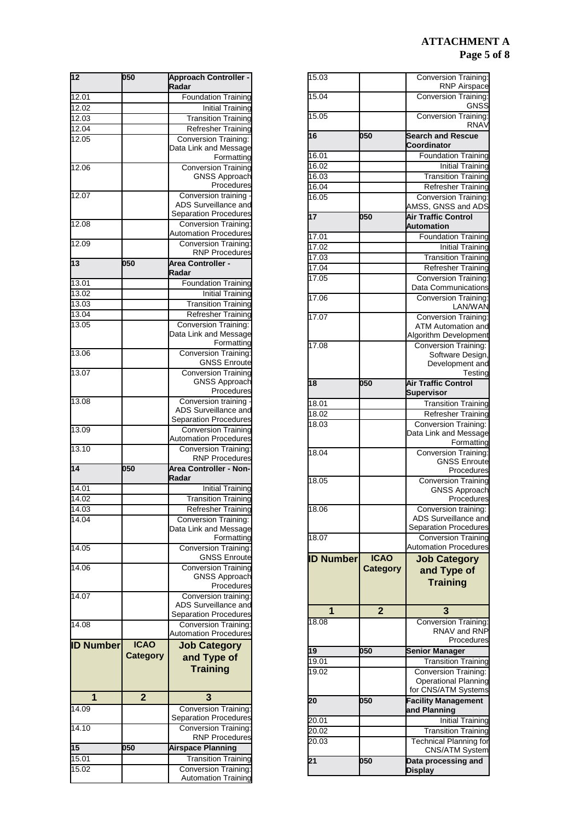## **ATTACHMENT A Page 5 of 8**

| 15.03            |                  | Conversion Training:<br><b>RNP Airspace</b>              |
|------------------|------------------|----------------------------------------------------------|
| 15.04            |                  | <b>Conversion Training:</b>                              |
|                  |                  | GNSS                                                     |
| 15.05            |                  | <b>Conversion Training:</b>                              |
|                  |                  | <b>RNAV</b>                                              |
| 16               | 050              | <b>Search and Rescue</b>                                 |
| 16.01            |                  | Coordinator<br><b>Foundation Training</b>                |
| 16.02            |                  | <b>Initial Training</b>                                  |
| 16.03            |                  | Transition Training                                      |
| 16.04            |                  | Refresher Training                                       |
| 16.05            |                  | <b>Conversion Training:</b>                              |
|                  |                  | AMSS, GNSS and ADS                                       |
| 17               | 050              | <b>Air Traffic Control</b>                               |
|                  |                  | Automation<br><b>Foundation Training</b>                 |
| 17.01<br>17.02   |                  | <b>Initial Training</b>                                  |
| 17.03            |                  | <b>Transition Training</b>                               |
| 17.04            |                  | Refresher Training                                       |
| 17.05            |                  | <b>Conversion Training:</b>                              |
|                  |                  | Data Communications                                      |
| 17.06            |                  | <b>Conversion Training:</b>                              |
|                  |                  | LAN/WAN                                                  |
| 17.07            |                  | <b>Conversion Training:</b><br><b>ATM Automation and</b> |
|                  |                  | Algorithm Development                                    |
| 17.08            |                  | <b>Conversion Training:</b>                              |
|                  |                  | Software Design,                                         |
|                  |                  | Development and                                          |
| 18               | $\overline{050}$ | Testing<br><b>Air Traffic Control</b>                    |
|                  |                  | <b>Supervisor</b>                                        |
| 18.01            |                  | <b>Transition Training</b>                               |
| 18.02            |                  | <b>Refresher Training</b>                                |
| 18.03            |                  | Conversion Training:                                     |
|                  |                  | Data Link and Message                                    |
|                  |                  | Formatting                                               |
| 18.04            |                  | <b>Conversion Training:</b><br><b>GNSS Enroute</b>       |
|                  |                  | Procedures                                               |
| 18.05            |                  | <b>Conversion Training</b>                               |
|                  |                  | <b>GNSS Approach</b>                                     |
| 18.06            |                  | Procedures<br>Conversion training:                       |
|                  |                  | ADS Surveillance and                                     |
|                  |                  | Separation Procedures                                    |
| 18.07            |                  | <b>Conversion Training</b>                               |
|                  |                  | <b>Automation Procedures</b>                             |
| <b>ID Number</b> | <b>ICAO</b>      | <b>Job Category</b>                                      |
|                  | <b>Category</b>  | and Type of                                              |
|                  |                  | <b>Training</b>                                          |
|                  |                  |                                                          |
| 1                | $\overline{2}$   | 3                                                        |
| 18.08            |                  | <b>Conversion Training:</b>                              |
|                  |                  | RNAV and RNP                                             |
|                  |                  | Procedures                                               |
| 19               | 050              | <b>Senior Manager</b>                                    |
| 19.01            |                  | <b>Transition Training</b>                               |
| 19.02            |                  | <b>Conversion Training:</b><br>Operational Planning      |
|                  |                  | for CNS/ATM Systems                                      |
| 20               | 050              | <b>Facility Management</b>                               |
|                  |                  | and Planning                                             |
| 20.01            |                  | <b>Initial Training</b>                                  |
| 20.02            |                  | <b>Transition Training</b>                               |
| 20.03            |                  | <b>Technical Planning for</b><br>CNS/ATM System          |
|                  |                  |                                                          |
|                  |                  |                                                          |
| 21               | 050              | Data processing and<br><b>Display</b>                    |

| $\overline{12}$  | 050             | <b>Approach Controller -</b><br>Radar         |
|------------------|-----------------|-----------------------------------------------|
| 12.01            |                 | <b>Foundation Training</b>                    |
| 12.02            |                 | <b>Initial Training</b>                       |
|                  |                 |                                               |
| 12.03            |                 | <b>Transition Training</b>                    |
| 12.04            |                 | <b>Refresher Training</b>                     |
| 12.05            |                 | Conversion Training:                          |
|                  |                 | Data Link and Message                         |
|                  |                 | Formatting                                    |
| 12.06            |                 | <b>Conversion Training</b>                    |
|                  |                 | <b>GNSS Approach</b>                          |
|                  |                 | Procedures                                    |
| 12.07            |                 | Conversion training -                         |
|                  |                 | ADS Surveillance and                          |
|                  |                 | Separation Procedures                         |
| 12.08            |                 | <b>Conversion Training:</b>                   |
|                  |                 | <b>Automation Procedures</b>                  |
|                  |                 | <b>Conversion Training:</b>                   |
| 12.09            |                 |                                               |
|                  |                 | <b>RNP Procedures</b>                         |
| 13               | 050             | <b>Area Controller -</b>                      |
|                  |                 | Radar                                         |
| 13.01            |                 | <b>Foundation Training</b>                    |
| 13.02            |                 | <b>Initial Training</b>                       |
| 13.03            |                 | <b>Transition Training</b>                    |
|                  |                 |                                               |
| 13.04            |                 | <b>Refresher Training</b>                     |
| 13.05            |                 | Conversion Training:                          |
|                  |                 | Data Link and Message                         |
|                  |                 | Formatting                                    |
| 13.06            |                 | <b>Conversion Training:</b>                   |
|                  |                 | <b>GNSS Enroute</b>                           |
| 13.07            |                 | <b>Conversion Training</b>                    |
|                  |                 | <b>GNSS Approach</b>                          |
|                  |                 | Procedures                                    |
| 13.08            |                 | Conversion training -                         |
|                  |                 | ADS Surveillance and                          |
|                  |                 | <b>Separation Procedures</b>                  |
| 13.09            |                 | <b>Conversion Training</b>                    |
|                  |                 | Automation Procedures                         |
| 13.10            |                 | <b>Conversion Training:</b>                   |
|                  |                 | <b>RNP Procedures</b>                         |
|                  |                 |                                               |
|                  |                 |                                               |
| $\overline{14}$  | 050             | <b>Area Controller - Non-</b>                 |
|                  |                 | Radar                                         |
| 14.01            |                 | <b>Initial Training</b>                       |
| 14.02            |                 | <b>Transition Training</b>                    |
| 14.03            |                 | Refresher Training                            |
| 14.04            |                 | <b>Conversion Training:</b>                   |
|                  |                 | Data Link and Message                         |
|                  |                 |                                               |
|                  |                 | Formatting                                    |
| 14.05            |                 | <b>Conversion Training:</b>                   |
|                  |                 | <b>GNSS Enroute</b>                           |
| 14.06            |                 | <b>Conversion Training</b>                    |
|                  |                 | <b>GNSS Approach</b>                          |
|                  |                 | Procedures                                    |
| 14.07            |                 | Conversion training:                          |
|                  |                 |                                               |
|                  |                 | ADS Surveillance and<br>Separation Procedures |
| 14.08            |                 | <b>Conversion Training:</b>                   |
|                  |                 | <b>Automation Procedures</b>                  |
| <b>ID Number</b> | <b>ICAO</b>     | <b>Job Category</b>                           |
|                  | <b>Category</b> |                                               |
|                  |                 | and Type of                                   |
|                  |                 | <b>Training</b>                               |
|                  |                 |                                               |
|                  |                 |                                               |
| 1                | $\overline{2}$  | 3                                             |
| 14.09            |                 | <b>Conversion Training:</b>                   |
|                  |                 | Separation Procedures                         |
| 14.10            |                 | <b>Conversion Training:</b>                   |
|                  |                 | <b>RNP Procedures</b>                         |
| $\overline{15}$  | 050             | <b>Airspace Planning</b>                      |
| 15.01            |                 | <b>Transition Training</b>                    |
| 15.02            |                 | <b>Conversion Training:</b>                   |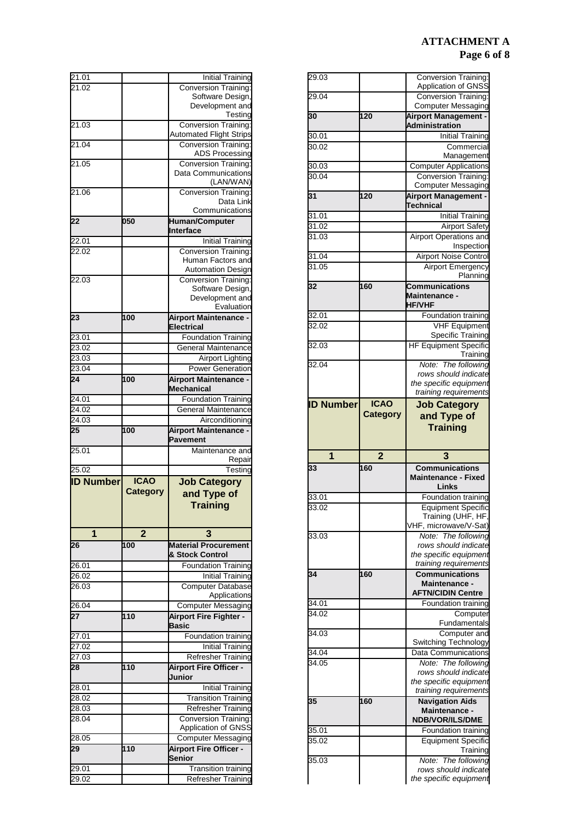# **ATTACHMENT A Page 6 of 8**

| 29.03              |                 | Conversion Training:                                                                                                                                                                                                                                                                                                                                                                                                                                                                                                                                                  |
|--------------------|-----------------|-----------------------------------------------------------------------------------------------------------------------------------------------------------------------------------------------------------------------------------------------------------------------------------------------------------------------------------------------------------------------------------------------------------------------------------------------------------------------------------------------------------------------------------------------------------------------|
|                    |                 | Application of GNSS                                                                                                                                                                                                                                                                                                                                                                                                                                                                                                                                                   |
| 29.04              |                 | Conversion Training:                                                                                                                                                                                                                                                                                                                                                                                                                                                                                                                                                  |
|                    |                 | <b>Computer Messaging</b>                                                                                                                                                                                                                                                                                                                                                                                                                                                                                                                                             |
| 30                 | 120             | <b>Airport Management -</b>                                                                                                                                                                                                                                                                                                                                                                                                                                                                                                                                           |
|                    |                 | Administration                                                                                                                                                                                                                                                                                                                                                                                                                                                                                                                                                        |
| 30.01              |                 | <b>Initial Training</b>                                                                                                                                                                                                                                                                                                                                                                                                                                                                                                                                               |
| 30.02              |                 | Commercial<br>Management                                                                                                                                                                                                                                                                                                                                                                                                                                                                                                                                              |
| 30.03              |                 | <b>Computer Applications</b>                                                                                                                                                                                                                                                                                                                                                                                                                                                                                                                                          |
| $30.\overline{04}$ |                 | <b>Conversion Training:</b>                                                                                                                                                                                                                                                                                                                                                                                                                                                                                                                                           |
|                    |                 | Computer Messaging                                                                                                                                                                                                                                                                                                                                                                                                                                                                                                                                                    |
| 31                 | 120             | <b>Airport Management -</b>                                                                                                                                                                                                                                                                                                                                                                                                                                                                                                                                           |
|                    |                 | <b>Technical</b>                                                                                                                                                                                                                                                                                                                                                                                                                                                                                                                                                      |
| 31.01              |                 | <b>Initial Training</b>                                                                                                                                                                                                                                                                                                                                                                                                                                                                                                                                               |
| 31.02              |                 | <b>Airport Safety</b>                                                                                                                                                                                                                                                                                                                                                                                                                                                                                                                                                 |
| 31.03              |                 | Airport Operations and                                                                                                                                                                                                                                                                                                                                                                                                                                                                                                                                                |
|                    |                 | Inspection                                                                                                                                                                                                                                                                                                                                                                                                                                                                                                                                                            |
| 31.04              |                 | <b>Airport Noise Control</b>                                                                                                                                                                                                                                                                                                                                                                                                                                                                                                                                          |
| 31.05              |                 | <b>Airport Emergency</b>                                                                                                                                                                                                                                                                                                                                                                                                                                                                                                                                              |
|                    |                 | Planning                                                                                                                                                                                                                                                                                                                                                                                                                                                                                                                                                              |
| 32                 | 160             | <b>Communications</b>                                                                                                                                                                                                                                                                                                                                                                                                                                                                                                                                                 |
|                    |                 | Maintenance -                                                                                                                                                                                                                                                                                                                                                                                                                                                                                                                                                         |
|                    |                 | <b>HF/VHF</b>                                                                                                                                                                                                                                                                                                                                                                                                                                                                                                                                                         |
| 32.01              |                 | Foundation training                                                                                                                                                                                                                                                                                                                                                                                                                                                                                                                                                   |
| 32.02              |                 | <b>VHF Equipment</b>                                                                                                                                                                                                                                                                                                                                                                                                                                                                                                                                                  |
|                    |                 | <b>Specific Training</b>                                                                                                                                                                                                                                                                                                                                                                                                                                                                                                                                              |
| 32.03              |                 | <b>HF Equipment Specific</b>                                                                                                                                                                                                                                                                                                                                                                                                                                                                                                                                          |
|                    |                 | Training                                                                                                                                                                                                                                                                                                                                                                                                                                                                                                                                                              |
| 32.04              |                 | The following<br>Note:<br>rows should indicate                                                                                                                                                                                                                                                                                                                                                                                                                                                                                                                        |
|                    |                 | the specific equipment                                                                                                                                                                                                                                                                                                                                                                                                                                                                                                                                                |
|                    |                 | training requirements                                                                                                                                                                                                                                                                                                                                                                                                                                                                                                                                                 |
| <b>ID Number</b>   | <b>ICAO</b>     | <b>Job Category</b>                                                                                                                                                                                                                                                                                                                                                                                                                                                                                                                                                   |
|                    | <b>Category</b> | and Type of                                                                                                                                                                                                                                                                                                                                                                                                                                                                                                                                                           |
|                    |                 |                                                                                                                                                                                                                                                                                                                                                                                                                                                                                                                                                                       |
|                    |                 |                                                                                                                                                                                                                                                                                                                                                                                                                                                                                                                                                                       |
|                    |                 | <b>Training</b>                                                                                                                                                                                                                                                                                                                                                                                                                                                                                                                                                       |
|                    |                 |                                                                                                                                                                                                                                                                                                                                                                                                                                                                                                                                                                       |
| 1                  | $\overline{2}$  | 3                                                                                                                                                                                                                                                                                                                                                                                                                                                                                                                                                                     |
| 33                 | 160             | <b>Communications</b>                                                                                                                                                                                                                                                                                                                                                                                                                                                                                                                                                 |
|                    |                 | <b>Maintenance - Fixed</b>                                                                                                                                                                                                                                                                                                                                                                                                                                                                                                                                            |
|                    |                 | Links                                                                                                                                                                                                                                                                                                                                                                                                                                                                                                                                                                 |
| 33.01              |                 |                                                                                                                                                                                                                                                                                                                                                                                                                                                                                                                                                                       |
| 33.02              |                 |                                                                                                                                                                                                                                                                                                                                                                                                                                                                                                                                                                       |
|                    |                 |                                                                                                                                                                                                                                                                                                                                                                                                                                                                                                                                                                       |
|                    |                 |                                                                                                                                                                                                                                                                                                                                                                                                                                                                                                                                                                       |
| 33.03              |                 |                                                                                                                                                                                                                                                                                                                                                                                                                                                                                                                                                                       |
|                    |                 |                                                                                                                                                                                                                                                                                                                                                                                                                                                                                                                                                                       |
|                    |                 |                                                                                                                                                                                                                                                                                                                                                                                                                                                                                                                                                                       |
| 34                 | 160             | <b>Communications</b>                                                                                                                                                                                                                                                                                                                                                                                                                                                                                                                                                 |
|                    |                 | Maintenance -                                                                                                                                                                                                                                                                                                                                                                                                                                                                                                                                                         |
|                    |                 | <b>AFTN/CIDIN Centre</b>                                                                                                                                                                                                                                                                                                                                                                                                                                                                                                                                              |
| 34.01              |                 |                                                                                                                                                                                                                                                                                                                                                                                                                                                                                                                                                                       |
| 34.02              |                 |                                                                                                                                                                                                                                                                                                                                                                                                                                                                                                                                                                       |
|                    |                 |                                                                                                                                                                                                                                                                                                                                                                                                                                                                                                                                                                       |
| 34.03              |                 |                                                                                                                                                                                                                                                                                                                                                                                                                                                                                                                                                                       |
|                    |                 |                                                                                                                                                                                                                                                                                                                                                                                                                                                                                                                                                                       |
| 34.04              |                 |                                                                                                                                                                                                                                                                                                                                                                                                                                                                                                                                                                       |
| 34.05              |                 |                                                                                                                                                                                                                                                                                                                                                                                                                                                                                                                                                                       |
|                    |                 |                                                                                                                                                                                                                                                                                                                                                                                                                                                                                                                                                                       |
|                    |                 |                                                                                                                                                                                                                                                                                                                                                                                                                                                                                                                                                                       |
|                    |                 |                                                                                                                                                                                                                                                                                                                                                                                                                                                                                                                                                                       |
| 35                 | 160             | <b>Navigation Aids</b>                                                                                                                                                                                                                                                                                                                                                                                                                                                                                                                                                |
|                    |                 | Maintenance -<br><b>NDB/VOR/ILS/DME</b>                                                                                                                                                                                                                                                                                                                                                                                                                                                                                                                               |
| 35.01              |                 |                                                                                                                                                                                                                                                                                                                                                                                                                                                                                                                                                                       |
| 35.02              |                 |                                                                                                                                                                                                                                                                                                                                                                                                                                                                                                                                                                       |
|                    |                 |                                                                                                                                                                                                                                                                                                                                                                                                                                                                                                                                                                       |
| 35.03              |                 |                                                                                                                                                                                                                                                                                                                                                                                                                                                                                                                                                                       |
|                    |                 | Foundation training<br><b>Equipment Specific</b><br>Training (UHF, HF,<br>VHF, microwave/V-Sat)<br>Note: The following<br>rows should indicate<br>the specific equipment<br>training requirements<br>Foundation training<br>Computer<br>Fundamentals<br>Computer and<br>Switching Technology<br><b>Data Communications</b><br>Note: The following<br>rows should indicate<br>the specific equipment<br>training requirements<br>Foundation training<br><b>Equipment Specific</b><br>Training<br>Note: The following<br>rows should indicate<br>the specific equipment |

| 21.01              |                 | <b>Initial Training</b>                                                                                                       |
|--------------------|-----------------|-------------------------------------------------------------------------------------------------------------------------------|
| 21.02              |                 | <b>Conversion Training:</b>                                                                                                   |
|                    |                 | Software Design,                                                                                                              |
|                    |                 | Development and<br>Testing                                                                                                    |
| 21.03              |                 | <b>Conversion Training:</b>                                                                                                   |
|                    |                 | <b>Automated Flight Strips</b>                                                                                                |
| 21.04              |                 | <b>Conversion Training:</b>                                                                                                   |
|                    |                 | <b>ADS Processing</b>                                                                                                         |
| 21.05              |                 | Conversion Training:                                                                                                          |
|                    |                 | Data Communications<br>(LAN/WAN)                                                                                              |
| 21.06              |                 | Conversion Training:                                                                                                          |
|                    |                 | Data Link                                                                                                                     |
|                    |                 | Communications                                                                                                                |
| 22                 | 050             | <b>Human/Computer</b>                                                                                                         |
|                    |                 | Interface                                                                                                                     |
| 22.01              |                 | <b>Initial Training</b>                                                                                                       |
| 22.02              |                 | <b>Conversion Training:</b>                                                                                                   |
|                    |                 | Human Factors and<br><b>Automation Design</b>                                                                                 |
| 22.03              |                 | <b>Conversion Training:</b>                                                                                                   |
|                    |                 | Software Design,                                                                                                              |
|                    |                 | Development and                                                                                                               |
|                    |                 | Evaluation                                                                                                                    |
| 23                 | 100             | <b>Airport Maintenance -</b>                                                                                                  |
|                    |                 | Electrical                                                                                                                    |
| 23.01              |                 | <b>Foundation Training</b>                                                                                                    |
| 23.02              |                 | <b>General Maintenance</b>                                                                                                    |
| 23.03              |                 | <b>Airport Lighting</b>                                                                                                       |
| 23.04<br>24        |                 | <b>Power Generation</b>                                                                                                       |
|                    | 100             | <b>Airport Maintenance -</b><br>Mechanical                                                                                    |
| 24.01              |                 | <b>Foundation Training</b>                                                                                                    |
| 24.02              |                 | <b>General Maintenance</b>                                                                                                    |
| 24.03              |                 | Airconditioning                                                                                                               |
|                    |                 |                                                                                                                               |
|                    |                 |                                                                                                                               |
| 25                 | 100             | <b>Airport Maintenance -</b><br><b>Pavement</b>                                                                               |
| 25.01              |                 | Maintenance and                                                                                                               |
|                    |                 | Repair                                                                                                                        |
| 25.02              |                 | Testing                                                                                                                       |
| <b>ID Number</b>   | <b>ICAO</b>     | <b>Job Category</b>                                                                                                           |
|                    | <b>Category</b> | and Type of                                                                                                                   |
|                    |                 | <b>Training</b>                                                                                                               |
|                    |                 |                                                                                                                               |
|                    |                 |                                                                                                                               |
| 1                  | $\overline{2}$  | 3                                                                                                                             |
| 26                 | 100             | <b>Material Procurement</b>                                                                                                   |
|                    |                 | & Stock Control                                                                                                               |
| $26.\overline{01}$ |                 | <b>Foundation Training</b>                                                                                                    |
| 26.02<br>26.03     |                 |                                                                                                                               |
|                    |                 | <b>Computer Database</b><br>Applications                                                                                      |
| 26.04              |                 | <b>Computer Messaging</b>                                                                                                     |
| 27                 | 110             | Airport Fire Fighter -                                                                                                        |
|                    |                 | Basic                                                                                                                         |
| 27.01              |                 | Foundation training                                                                                                           |
| $27.\overline{02}$ |                 |                                                                                                                               |
| $27.\overline{03}$ |                 | <b>Refresher Training</b>                                                                                                     |
| 28                 | 110             | <b>Airport Fire Officer -</b>                                                                                                 |
|                    |                 | Junior                                                                                                                        |
| 28.01              |                 |                                                                                                                               |
| $28.\overline{02}$ |                 | <b>Transition Training</b>                                                                                                    |
| 28.03              |                 |                                                                                                                               |
| 28.04              |                 | <b>Refresher Training</b><br><b>Conversion Training:</b>                                                                      |
|                    |                 | Application of GNSS                                                                                                           |
| 28.05<br>29        | 110             | <b>Initial Training</b><br>Initial Training<br>Initial Training<br><b>Computer Messaging</b><br><b>Airport Fire Officer -</b> |
|                    |                 | Senior                                                                                                                        |
| 29.01              |                 | <b>Transition training</b><br><b>Refresher Training</b>                                                                       |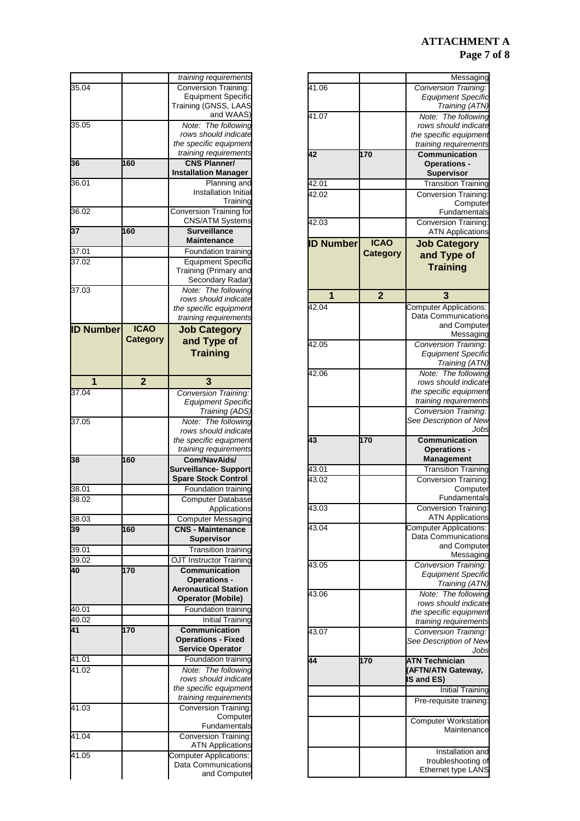## **ATTACHMENT A Page 7 of 8**

|                  |                 | Messaging                                                                                                                                                                                                                                                                                                                                                                                                                                                                                                                                                                                               |
|------------------|-----------------|---------------------------------------------------------------------------------------------------------------------------------------------------------------------------------------------------------------------------------------------------------------------------------------------------------------------------------------------------------------------------------------------------------------------------------------------------------------------------------------------------------------------------------------------------------------------------------------------------------|
| 41.06            |                 | Conversion Training:                                                                                                                                                                                                                                                                                                                                                                                                                                                                                                                                                                                    |
|                  |                 | <b>Equipment Specific</b>                                                                                                                                                                                                                                                                                                                                                                                                                                                                                                                                                                               |
|                  |                 | Training (ATN)                                                                                                                                                                                                                                                                                                                                                                                                                                                                                                                                                                                          |
| 41.07            |                 | Note: The following                                                                                                                                                                                                                                                                                                                                                                                                                                                                                                                                                                                     |
|                  |                 | rows should indicate                                                                                                                                                                                                                                                                                                                                                                                                                                                                                                                                                                                    |
|                  |                 | the specific equipment                                                                                                                                                                                                                                                                                                                                                                                                                                                                                                                                                                                  |
|                  |                 | training requirements                                                                                                                                                                                                                                                                                                                                                                                                                                                                                                                                                                                   |
| 42               | 170             | <b>Communication</b>                                                                                                                                                                                                                                                                                                                                                                                                                                                                                                                                                                                    |
|                  |                 | <b>Operations -</b>                                                                                                                                                                                                                                                                                                                                                                                                                                                                                                                                                                                     |
|                  |                 | <b>Supervisor</b>                                                                                                                                                                                                                                                                                                                                                                                                                                                                                                                                                                                       |
| 42.01            |                 | Transition Training                                                                                                                                                                                                                                                                                                                                                                                                                                                                                                                                                                                     |
| 42.02            |                 | Conversion Training:                                                                                                                                                                                                                                                                                                                                                                                                                                                                                                                                                                                    |
|                  |                 | Computer                                                                                                                                                                                                                                                                                                                                                                                                                                                                                                                                                                                                |
|                  |                 | Fundamentals                                                                                                                                                                                                                                                                                                                                                                                                                                                                                                                                                                                            |
| 42.03            |                 | <b>Conversion Training:</b>                                                                                                                                                                                                                                                                                                                                                                                                                                                                                                                                                                             |
|                  |                 | <b>ATN Applications</b>                                                                                                                                                                                                                                                                                                                                                                                                                                                                                                                                                                                 |
|                  |                 |                                                                                                                                                                                                                                                                                                                                                                                                                                                                                                                                                                                                         |
| <b>ID Number</b> | <b>ICAO</b>     | <b>Job Category</b>                                                                                                                                                                                                                                                                                                                                                                                                                                                                                                                                                                                     |
|                  | <b>Category</b> | and Type of                                                                                                                                                                                                                                                                                                                                                                                                                                                                                                                                                                                             |
|                  |                 | <b>Training</b>                                                                                                                                                                                                                                                                                                                                                                                                                                                                                                                                                                                         |
|                  |                 |                                                                                                                                                                                                                                                                                                                                                                                                                                                                                                                                                                                                         |
|                  |                 |                                                                                                                                                                                                                                                                                                                                                                                                                                                                                                                                                                                                         |
| 1                | $\overline{2}$  | 3                                                                                                                                                                                                                                                                                                                                                                                                                                                                                                                                                                                                       |
| 42.04            |                 | <b>Computer Applications:</b>                                                                                                                                                                                                                                                                                                                                                                                                                                                                                                                                                                           |
|                  |                 | Data Communications                                                                                                                                                                                                                                                                                                                                                                                                                                                                                                                                                                                     |
|                  |                 | and Computer                                                                                                                                                                                                                                                                                                                                                                                                                                                                                                                                                                                            |
|                  |                 | Messaging                                                                                                                                                                                                                                                                                                                                                                                                                                                                                                                                                                                               |
| 42.05            |                 |                                                                                                                                                                                                                                                                                                                                                                                                                                                                                                                                                                                                         |
|                  |                 | <b>Conversion Training:</b>                                                                                                                                                                                                                                                                                                                                                                                                                                                                                                                                                                             |
|                  |                 | <b>Equipment Specific</b>                                                                                                                                                                                                                                                                                                                                                                                                                                                                                                                                                                               |
|                  |                 | Training (ATN)                                                                                                                                                                                                                                                                                                                                                                                                                                                                                                                                                                                          |
| 42.06            |                 | Note: The following                                                                                                                                                                                                                                                                                                                                                                                                                                                                                                                                                                                     |
|                  |                 | rows should indicate                                                                                                                                                                                                                                                                                                                                                                                                                                                                                                                                                                                    |
|                  |                 | the specific equipment                                                                                                                                                                                                                                                                                                                                                                                                                                                                                                                                                                                  |
|                  |                 | training requirements                                                                                                                                                                                                                                                                                                                                                                                                                                                                                                                                                                                   |
|                  |                 | <b>Conversion Training:</b>                                                                                                                                                                                                                                                                                                                                                                                                                                                                                                                                                                             |
|                  |                 |                                                                                                                                                                                                                                                                                                                                                                                                                                                                                                                                                                                                         |
|                  |                 |                                                                                                                                                                                                                                                                                                                                                                                                                                                                                                                                                                                                         |
|                  |                 |                                                                                                                                                                                                                                                                                                                                                                                                                                                                                                                                                                                                         |
| 43               | 170             | <b>Communication</b>                                                                                                                                                                                                                                                                                                                                                                                                                                                                                                                                                                                    |
|                  |                 | <b>Operations -</b>                                                                                                                                                                                                                                                                                                                                                                                                                                                                                                                                                                                     |
|                  |                 | <b>Management</b>                                                                                                                                                                                                                                                                                                                                                                                                                                                                                                                                                                                       |
| 43.01            |                 |                                                                                                                                                                                                                                                                                                                                                                                                                                                                                                                                                                                                         |
| 43.02            |                 |                                                                                                                                                                                                                                                                                                                                                                                                                                                                                                                                                                                                         |
|                  |                 |                                                                                                                                                                                                                                                                                                                                                                                                                                                                                                                                                                                                         |
|                  |                 |                                                                                                                                                                                                                                                                                                                                                                                                                                                                                                                                                                                                         |
| 43.03            |                 |                                                                                                                                                                                                                                                                                                                                                                                                                                                                                                                                                                                                         |
|                  |                 | <b>Conversion Training:</b>                                                                                                                                                                                                                                                                                                                                                                                                                                                                                                                                                                             |
| 43.04            |                 | Computer Applications:                                                                                                                                                                                                                                                                                                                                                                                                                                                                                                                                                                                  |
|                  |                 |                                                                                                                                                                                                                                                                                                                                                                                                                                                                                                                                                                                                         |
|                  |                 |                                                                                                                                                                                                                                                                                                                                                                                                                                                                                                                                                                                                         |
|                  |                 |                                                                                                                                                                                                                                                                                                                                                                                                                                                                                                                                                                                                         |
| 43.05            |                 |                                                                                                                                                                                                                                                                                                                                                                                                                                                                                                                                                                                                         |
|                  |                 |                                                                                                                                                                                                                                                                                                                                                                                                                                                                                                                                                                                                         |
|                  |                 |                                                                                                                                                                                                                                                                                                                                                                                                                                                                                                                                                                                                         |
| 43.06            |                 | Note:                                                                                                                                                                                                                                                                                                                                                                                                                                                                                                                                                                                                   |
|                  |                 |                                                                                                                                                                                                                                                                                                                                                                                                                                                                                                                                                                                                         |
|                  |                 |                                                                                                                                                                                                                                                                                                                                                                                                                                                                                                                                                                                                         |
|                  |                 |                                                                                                                                                                                                                                                                                                                                                                                                                                                                                                                                                                                                         |
| 43.07            |                 |                                                                                                                                                                                                                                                                                                                                                                                                                                                                                                                                                                                                         |
|                  |                 |                                                                                                                                                                                                                                                                                                                                                                                                                                                                                                                                                                                                         |
|                  |                 |                                                                                                                                                                                                                                                                                                                                                                                                                                                                                                                                                                                                         |
| 44               |                 |                                                                                                                                                                                                                                                                                                                                                                                                                                                                                                                                                                                                         |
|                  | 170             | <b>ATN Technician</b>                                                                                                                                                                                                                                                                                                                                                                                                                                                                                                                                                                                   |
|                  |                 | (AFTN/ATN Gateway,<br><b>IS and ES)</b>                                                                                                                                                                                                                                                                                                                                                                                                                                                                                                                                                                 |
|                  |                 |                                                                                                                                                                                                                                                                                                                                                                                                                                                                                                                                                                                                         |
|                  |                 |                                                                                                                                                                                                                                                                                                                                                                                                                                                                                                                                                                                                         |
|                  |                 |                                                                                                                                                                                                                                                                                                                                                                                                                                                                                                                                                                                                         |
|                  |                 |                                                                                                                                                                                                                                                                                                                                                                                                                                                                                                                                                                                                         |
|                  |                 |                                                                                                                                                                                                                                                                                                                                                                                                                                                                                                                                                                                                         |
|                  |                 |                                                                                                                                                                                                                                                                                                                                                                                                                                                                                                                                                                                                         |
|                  |                 |                                                                                                                                                                                                                                                                                                                                                                                                                                                                                                                                                                                                         |
|                  |                 |                                                                                                                                                                                                                                                                                                                                                                                                                                                                                                                                                                                                         |
|                  |                 | See Description of New<br>Jobs<br><b>Transition Training</b><br>Computer<br>Fundamentals<br><b>Conversion Training:</b><br><b>ATN Applications</b><br>Data Communications<br>and Computer<br>Messaging<br>Conversion Training:<br><b>Equipment Specific</b><br>Training (ATN)<br>The following<br>rows should indicate<br>the specific equipment<br>training requirements<br>Conversion Training:<br>See Description of New<br>Jobs<br>Initial Training<br>Pre-requisite training:<br><b>Computer Workstation</b><br>Maintenance<br>Installation and<br>troubleshooting of<br><b>Ethernet type LANS</b> |

|                  |                 | training requirements                                      |
|------------------|-----------------|------------------------------------------------------------|
| 35.04            |                 | <b>Conversion Training:</b>                                |
|                  |                 | <b>Equipment Specific</b><br>Training (GNSS, LAAS          |
|                  |                 | and WAAS)                                                  |
| 35.05            |                 | The following<br>Note:                                     |
|                  |                 | rows should indicate                                       |
|                  |                 | the specific equipment<br>training requirements            |
| 36               | 160             | <b>CNS Planner/</b>                                        |
|                  |                 | <b>Installation Manager</b>                                |
| 36.01            |                 | Planning and                                               |
|                  |                 | Installation Initial<br>Training                           |
| 36.02            |                 | Conversion Training for<br><b>CNS/ATM Systems</b>          |
| 37               | 160             | <b>Surveillance</b><br>Maintenance                         |
| 37.01            |                 | Foundation training                                        |
| 37.02            |                 | <b>Equipment Specific</b>                                  |
|                  |                 | Training (Primary and<br>Secondary Radar)                  |
| 37.03            |                 | Note: The following                                        |
|                  |                 | rows should indicate                                       |
|                  |                 | the specific equipment                                     |
| <b>ID Number</b> | <b>ICAO</b>     | training requirements                                      |
|                  |                 | <b>Job Category</b>                                        |
|                  | <b>Category</b> | and Type of                                                |
|                  |                 | <b>Training</b>                                            |
|                  |                 |                                                            |
| 1                | $\overline{2}$  | 3                                                          |
| 37.04            |                 | <b>Conversion Training:</b>                                |
|                  |                 | <b>Equipment Specific</b>                                  |
| 37.05            |                 | Training (ADS)<br>Note: The following                      |
|                  |                 | rows should indicate                                       |
|                  |                 | the specific equipment                                     |
|                  |                 |                                                            |
|                  |                 | training requirements                                      |
| 38               | 160             | Com/NavAids/                                               |
|                  |                 | <b>Surveillance- Support</b>                               |
|                  |                 | <b>Spare Stock Control</b>                                 |
| 38.01<br>38.02   |                 | Foundation training<br><b>Computer Database</b>            |
|                  |                 | Applications                                               |
| 38.03            |                 | <b>Computer Messaging</b>                                  |
| 39               | 160             | <b>CNS - Maintenance</b>                                   |
|                  |                 | <b>Supervisor</b>                                          |
| 39.01            |                 | <b>Transition training</b>                                 |
| 39.02<br>40      |                 | OJT Instructor Training<br><b>Communication</b>            |
|                  | 170             | <b>Operations -</b>                                        |
|                  |                 | <b>Aeronautical Station</b>                                |
|                  |                 | <b>Operator (Mobile)</b>                                   |
| 40.01            |                 | Foundation training                                        |
| 40.02<br>41      |                 | <b>Initial Training</b>                                    |
|                  | 170             | <b>Communication</b><br><b>Operations - Fixed</b>          |
|                  |                 | <b>Service Operator</b>                                    |
| 41.01            |                 | Foundation training                                        |
| 41.02            |                 |                                                            |
|                  |                 | rows should indicate<br>the specific equipment             |
|                  |                 | training requirements                                      |
| 41.03            |                 | <b>Conversion Training:</b>                                |
|                  |                 | Computer                                                   |
|                  |                 | Fundamentals                                               |
| 41.04            |                 | <b>Conversion Training:</b><br><b>ATN Applications</b>     |
| 41.05            |                 | <b>Computer Applications:</b>                              |
|                  |                 | Note: The following<br>Data Communications<br>and Computer |